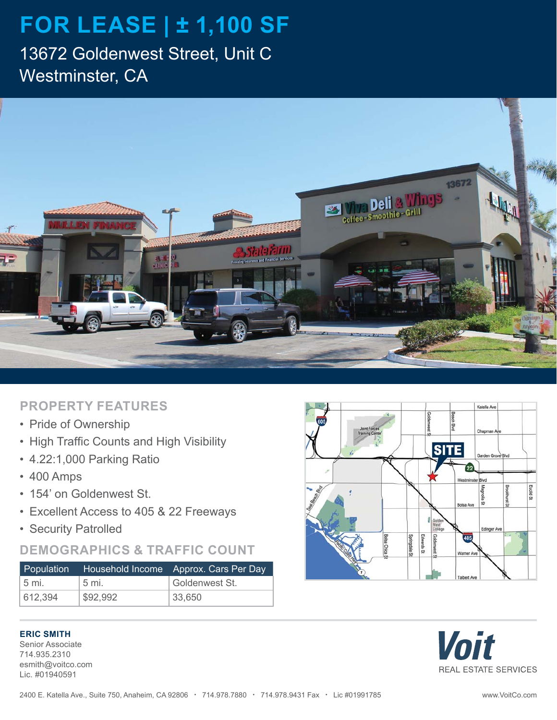# **FOR LEASE | ± 1,100 SF**

13672 Goldenwest Street, Unit C Westminster, CA



#### **PROPERTY FEATURES**

- Pride of Ownership
- High Traffic Counts and High Visibility
- 4.22:1,000 Parking Ratio
- 400 Amps
- 154' on Goldenwest St.
- Excellent Access to 405 & 22 Freeways
- Security Patrolled

### **DEMOGRAPHICS & TRAFFIC COUNT**

| Population     |          | Household Income Approx. Cars Per Day |
|----------------|----------|---------------------------------------|
| $5 \text{ mi}$ | 5 mi.    | Goldenwest St.                        |
| 612,394        | \$92,992 | 33.650                                |

#### **ERIC SMITH**

Senior Associate 714.935.2310 esmith@voitco.com Lic. #01940591



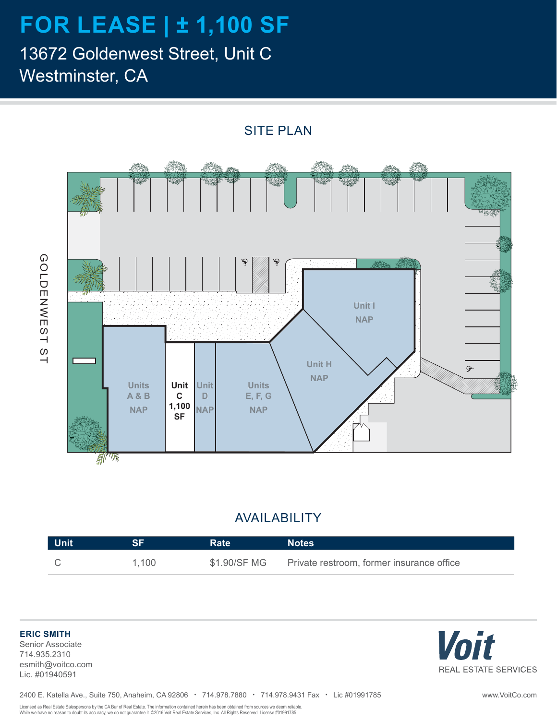# **FOR LEASE | ± 1,100 SF**

13672 Goldenwest Street, Unit C Westminster, CA

> 泰 **Unit I**  $\boldsymbol{\cdot}$  $\mathcal{L}_{\text{max}}$ ÷, Ġ. DΣ. **NAP** Ž, ¢ **Unit H** Gr. **NAP Units Unit Unit Units A & B C D E, F, G 1,100 NAP NAP NAP SF** A<sup>VTR</sup>

SITE PLAN

### AVAILABILITY

| <b>Unit</b> | eЕ    | <b>Rate</b>  | <b>Notes</b>                              |
|-------------|-------|--------------|-------------------------------------------|
|             | 1,100 | \$1.90/SF MG | Private restroom, former insurance office |

**ERIC SMITH** Senior Associate

GOLDENWEST ST

GOLDENWEST ST

714.935.2310 esmith@voitco.com Lic. #01940591



Licensed as Real Estate Salespersons by the CA Bur of Real Estate. The information contained herein has been obtained from sources we deem reliable. While we have no reason to doubt its accuracy, we do not guarantee it. ©2016 Voit Real Estate Services, Inc. All Rights Reserved. License #01991785